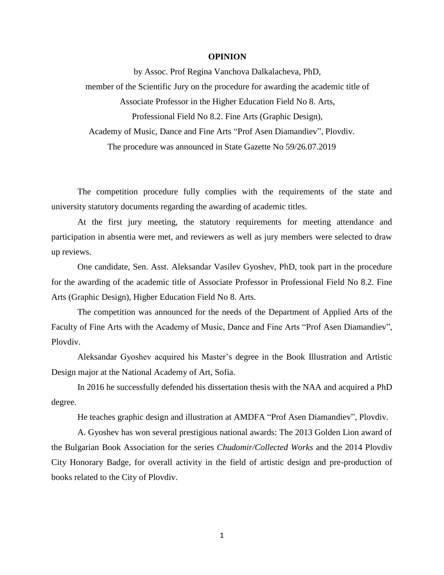## **OPINION**

by Assoc. Prof Regina Vanchova Dalkalacheva, PhD, member of the Scientific Jury on the procedure for awarding the academic title of Associate Professor in the Higher Education Field No 8. Arts, Professional Field No 8.2. Fine Arts (Graphic Design), Academy of Music, Dance and Fine Arts "Prof Asen Diamandiev", Plovdiv. The procedure was announced in State Gazette No 59/26.07.2019

The competition procedure fully complies with the requirements of the state and university statutory documents regarding the awarding of academic titles.

At the first jury meeting, the statutory requirements for meeting attendance and participation in absentia were met, and reviewers as well as jury members were selected to draw up reviews.

One candidate, Sen. Asst. Aleksandar Vasilev Gyoshev, PhD, took part in the procedure for the awarding of the academic title of Associate Professor in Professional Field No 8.2. Fine Arts (Graphic Design), Higher Education Field No 8. Arts.

The competition was announced for the needs of the Department of Applied Arts of the Faculty of Fine Arts with the Academy of Music, Dance and Fine Arts "Prof Asen Diamandiev", Plovdiv.

Aleksandar Gyoshev acquired his Master's degree in the Book Illustration and Artistic Design major at the National Academy of Art, Sofia.

In 2016 he successfully defended his dissertation thesis with the NAA and acquired a PhD degree.

He teaches graphic design and illustration at AMDFA "Prof Asen Diamandiev", Plovdiv.

A. Gyoshev has won several prestigious national awards: The 2013 Golden Lion award of the Bulgarian Book Association for the series *Chudomir/Collected Works* and the 2014 Plovdiv City Honorary Badge, for overall activity in the field of artistic design and pre-production of books related to the City of Plovdiv.

1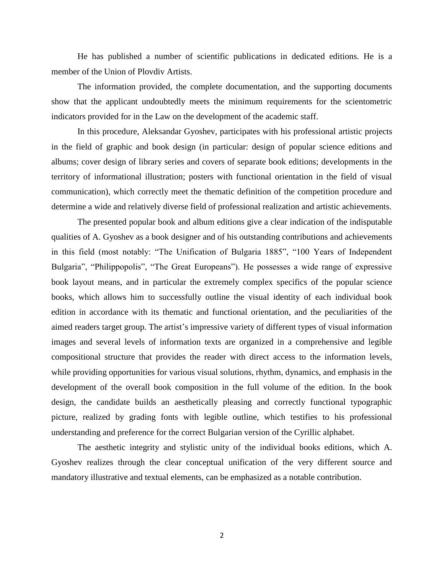He has published a number of scientific publications in dedicated editions. He is a member of the Union of Plovdiv Artists.

The information provided, the complete documentation, and the supporting documents show that the applicant undoubtedly meets the minimum requirements for the scientometric indicators provided for in the Law on the development of the academic staff.

In this procedure, Aleksandar Gyoshev, participates with his professional artistic projects in the field of graphic and book design (in particular: design of popular science editions and albums; cover design of library series and covers of separate book editions; developments in the territory of informational illustration; posters with functional orientation in the field of visual communication), which correctly meet the thematic definition of the competition procedure and determine a wide and relatively diverse field of professional realization and artistic achievements.

The presented popular book and album editions give a clear indication of the indisputable qualities of A. Gyoshev as a book designer and of his outstanding contributions and achievements in this field (most notably: "The Unification of Bulgaria 1885", "100 Years of Independent Bulgaria", "Philippopolis", "The Great Europeans"). He possesses a wide range of expressive book layout means, and in particular the extremely complex specifics of the popular science books, which allows him to successfully outline the visual identity of each individual book edition in accordance with its thematic and functional orientation, and the peculiarities of the aimed readers target group. The artist's impressive variety of different types of visual information images and several levels of information texts are organized in a comprehensive and legible compositional structure that provides the reader with direct access to the information levels, while providing opportunities for various visual solutions, rhythm, dynamics, and emphasis in the development of the overall book composition in the full volume of the edition. In the book design, the candidate builds an aesthetically pleasing and correctly functional typographic picture, realized by grading fonts with legible outline, which testifies to his professional understanding and preference for the correct Bulgarian version of the Cyrillic alphabet.

The aesthetic integrity and stylistic unity of the individual books editions, which A. Gyoshev realizes through the clear conceptual unification of the very different source and mandatory illustrative and textual elements, can be emphasized as a notable contribution.

2